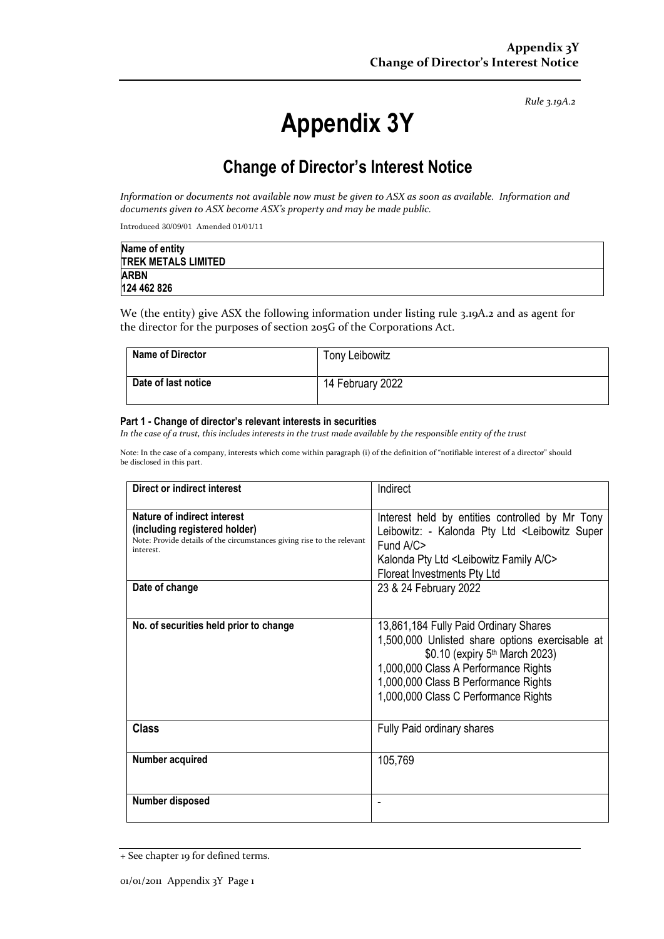*Rule 3.19A.2*

# **Appendix 3Y**

# **Change of Director's Interest Notice**

*Information or documents not available now must be given to ASX as soon as available. Information and documents given to ASX become ASX's property and may be made public.*

Introduced 30/09/01 Amended 01/01/11

| Name of entity             |  |
|----------------------------|--|
| <b>TREK METALS LIMITED</b> |  |
| <b>ARBN</b>                |  |
| 124 462 826                |  |

We (the entity) give ASX the following information under listing rule 3.19A.2 and as agent for the director for the purposes of section 205G of the Corporations Act.

| <b>Name of Director</b> | Tony Leibowitz   |
|-------------------------|------------------|
| Date of last notice     | 14 February 2022 |

#### **Part 1 - Change of director's relevant interests in securities**

*In the case of a trust, this includes interests in the trust made available by the responsible entity of the trust*

Note: In the case of a company, interests which come within paragraph (i) of the definition of "notifiable interest of a director" should be disclosed in this part.

| Direct or indirect interest                                                                                                                         | Indirect                                                                                                                                                                                                                                                       |
|-----------------------------------------------------------------------------------------------------------------------------------------------------|----------------------------------------------------------------------------------------------------------------------------------------------------------------------------------------------------------------------------------------------------------------|
| Nature of indirect interest<br>(including registered holder)<br>Note: Provide details of the circumstances giving rise to the relevant<br>interest. | Interest held by entities controlled by Mr Tony<br>Leibowitz: - Kalonda Pty Ltd <leibowitz super<br="">Fund <math>A/C</math><br/>Kalonda Pty Ltd <leibowitz a="" c="" family=""><br/>Floreat Investments Pty Ltd</leibowitz></leibowitz>                       |
| Date of change                                                                                                                                      | 23 & 24 February 2022                                                                                                                                                                                                                                          |
| No. of securities held prior to change                                                                                                              | 13,861,184 Fully Paid Ordinary Shares<br>1,500,000 Unlisted share options exercisable at<br>\$0.10 (expiry 5 <sup>th</sup> March 2023)<br>1,000,000 Class A Performance Rights<br>1,000,000 Class B Performance Rights<br>1,000,000 Class C Performance Rights |
| <b>Class</b>                                                                                                                                        | Fully Paid ordinary shares                                                                                                                                                                                                                                     |
| Number acquired                                                                                                                                     | 105,769                                                                                                                                                                                                                                                        |
| Number disposed                                                                                                                                     |                                                                                                                                                                                                                                                                |

<sup>+</sup> See chapter 19 for defined terms.